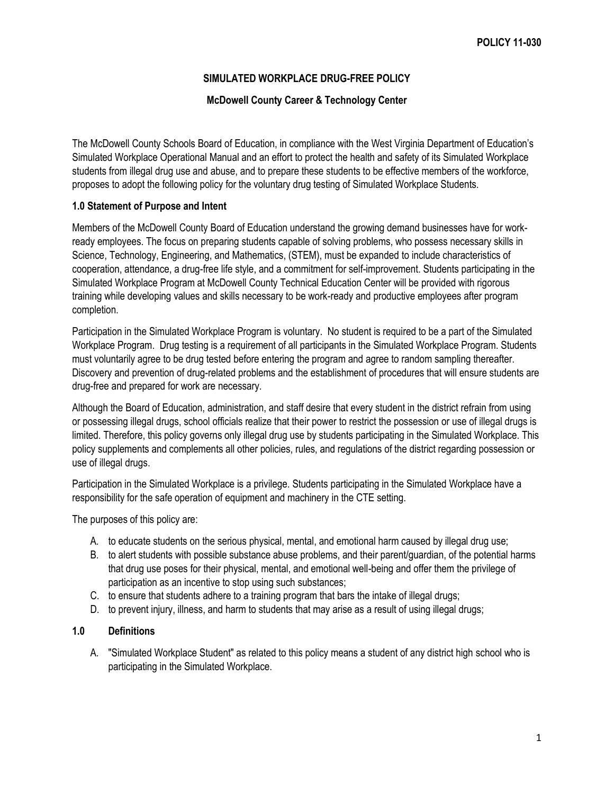# **SIMULATED WORKPLACE DRUG-FREE POLICY**

### **McDowell County Career & Technology Center**

The McDowell County Schools Board of Education, in compliance with the West Virginia Department of Education's Simulated Workplace Operational Manual and an effort to protect the health and safety of its Simulated Workplace students from illegal drug use and abuse, and to prepare these students to be effective members of the workforce, proposes to adopt the following policy for the voluntary drug testing of Simulated Workplace Students.

### **1.0 Statement of Purpose and Intent**

Members of the McDowell County Board of Education understand the growing demand businesses have for workready employees. The focus on preparing students capable of solving problems, who possess necessary skills in Science, Technology, Engineering, and Mathematics, (STEM), must be expanded to include characteristics of cooperation, attendance, a drug-free life style, and a commitment for self-improvement. Students participating in the Simulated Workplace Program at McDowell County Technical Education Center will be provided with rigorous training while developing values and skills necessary to be work-ready and productive employees after program completion.

Participation in the Simulated Workplace Program is voluntary. No student is required to be a part of the Simulated Workplace Program. Drug testing is a requirement of all participants in the Simulated Workplace Program. Students must voluntarily agree to be drug tested before entering the program and agree to random sampling thereafter. Discovery and prevention of drug-related problems and the establishment of procedures that will ensure students are drug-free and prepared for work are necessary.

Although the Board of Education, administration, and staff desire that every student in the district refrain from using or possessing illegal drugs, school officials realize that their power to restrict the possession or use of illegal drugs is limited. Therefore, this policy governs only illegal drug use by students participating in the Simulated Workplace. This policy supplements and complements all other policies, rules, and regulations of the district regarding possession or use of illegal drugs.

Participation in the Simulated Workplace is a privilege. Students participating in the Simulated Workplace have a responsibility for the safe operation of equipment and machinery in the CTE setting.

The purposes of this policy are:

- A. to educate students on the serious physical, mental, and emotional harm caused by illegal drug use;
- B. to alert students with possible substance abuse problems, and their parent/guardian, of the potential harms that drug use poses for their physical, mental, and emotional well-being and offer them the privilege of participation as an incentive to stop using such substances;
- C. to ensure that students adhere to a training program that bars the intake of illegal drugs;
- D. to prevent injury, illness, and harm to students that may arise as a result of using illegal drugs;

## **1.0 Definitions**

A. "Simulated Workplace Student" as related to this policy means a student of any district high school who is participating in the Simulated Workplace.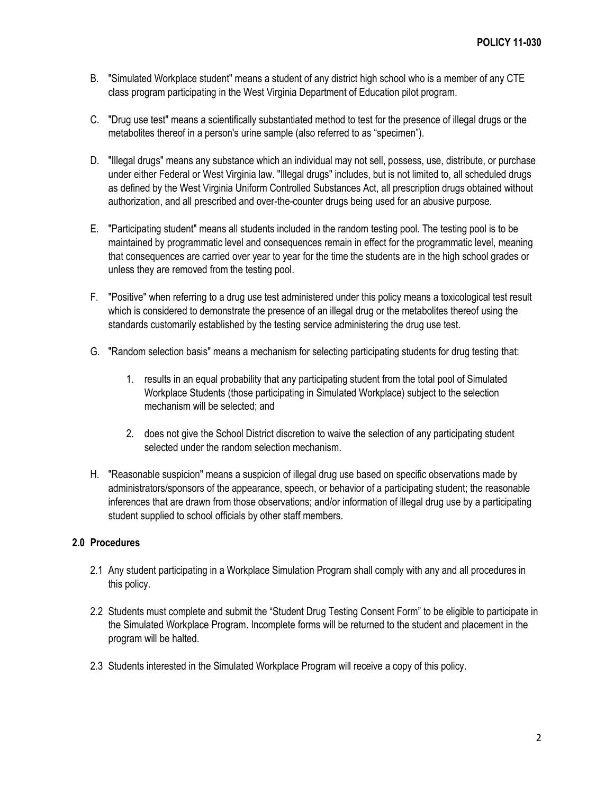- B. "Simulated Workplace student" means a student of any district high school who is a member of any CTE class program participating in the West Virginia Department of Education pilot program.
- C. "Drug use test" means a scientifically substantiated method to test for the presence of illegal drugs or the metabolites thereof in a person's urine sample (also referred to as "specimen").
- D. "Illegal drugs" means any substance which an individual may not sell, possess, use, distribute, or purchase under either Federal or West Virginia law. "Illegal drugs" includes, but is not limited to, all scheduled drugs as defined by the West Virginia Uniform Controlled Substances Act, all prescription drugs obtained without authorization, and all prescribed and over-the-counter drugs being used for an abusive purpose.
- E. "Participating student" means all students included in the random testing pool. The testing pool is to be maintained by programmatic level and consequences remain in effect for the programmatic level, meaning that consequences are carried over year to year for the time the students are in the high school grades or unless they are removed from the testing pool.
- F. "Positive" when referring to a drug use test administered under this policy means a toxicological test result which is considered to demonstrate the presence of an illegal drug or the metabolites thereof using the standards customarily established by the testing service administering the drug use test.
- G. "Random selection basis" means a mechanism for selecting participating students for drug testing that:
	- 1. results in an equal probability that any participating student from the total pool of Simulated Workplace Students (those participating in Simulated Workplace) subject to the selection mechanism will be selected; and
	- 2. does not give the School District discretion to waive the selection of any participating student selected under the random selection mechanism.
- H. "Reasonable suspicion" means a suspicion of illegal drug use based on specific observations made by administrators/sponsors of the appearance, speech, or behavior of a participating student; the reasonable inferences that are drawn from those observations; and/or information of illegal drug use by a participating student supplied to school officials by other staff members.

## **2.0 Procedures**

- 2.1 Any student participating in a Workplace Simulation Program shall comply with any and all procedures in this policy.
- 2.2 Students must complete and submit the "Student Drug Testing Consent Form" to be eligible to participate in the Simulated Workplace Program. Incomplete forms will be returned to the student and placement in the program will be halted.
- 2.3 Students interested in the Simulated Workplace Program will receive a copy of this policy.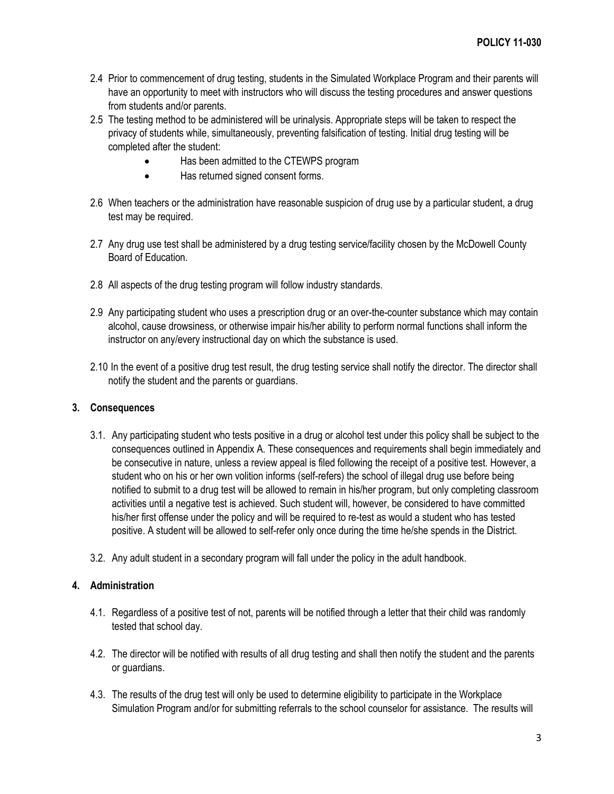- 2.4 Prior to commencement of drug testing, students in the Simulated Workplace Program and their parents will have an opportunity to meet with instructors who will discuss the testing procedures and answer questions from students and/or parents.
- 2.5 The testing method to be administered will be urinalysis. Appropriate steps will be taken to respect the privacy of students while, simultaneously, preventing falsification of testing. Initial drug testing will be completed after the student:
	- Has been admitted to the CTEWPS program
	- Has returned signed consent forms.
- 2.6 When teachers or the administration have reasonable suspicion of drug use by a particular student, a drug test may be required.
- 2.7 Any drug use test shall be administered by a drug testing service/facility chosen by the McDowell County Board of Education.
- 2.8 All aspects of the drug testing program will follow industry standards.
- 2.9 Any participating student who uses a prescription drug or an over-the-counter substance which may contain alcohol, cause drowsiness, or otherwise impair his/her ability to perform normal functions shall inform the instructor on any/every instructional day on which the substance is used.
- 2.10 In the event of a positive drug test result, the drug testing service shall notify the director. The director shall notify the student and the parents or guardians.

## **3. Consequences**

- 3.1. Any participating student who tests positive in a drug or alcohol test under this policy shall be subject to the consequences outlined in Appendix A. These consequences and requirements shall begin immediately and be consecutive in nature, unless a review appeal is filed following the receipt of a positive test. However, a student who on his or her own volition informs (self-refers) the school of illegal drug use before being notified to submit to a drug test will be allowed to remain in his/her program, but only completing classroom activities until a negative test is achieved. Such student will, however, be considered to have committed his/her first offense under the policy and will be required to re-test as would a student who has tested positive. A student will be allowed to self-refer only once during the time he/she spends in the District.
- 3.2. Any adult student in a secondary program will fall under the policy in the adult handbook.

## **4. Administration**

- 4.1. Regardless of a positive test of not, parents will be notified through a letter that their child was randomly tested that school day.
- 4.2. The director will be notified with results of all drug testing and shall then notify the student and the parents or guardians.
- 4.3. The results of the drug test will only be used to determine eligibility to participate in the Workplace Simulation Program and/or for submitting referrals to the school counselor for assistance. The results will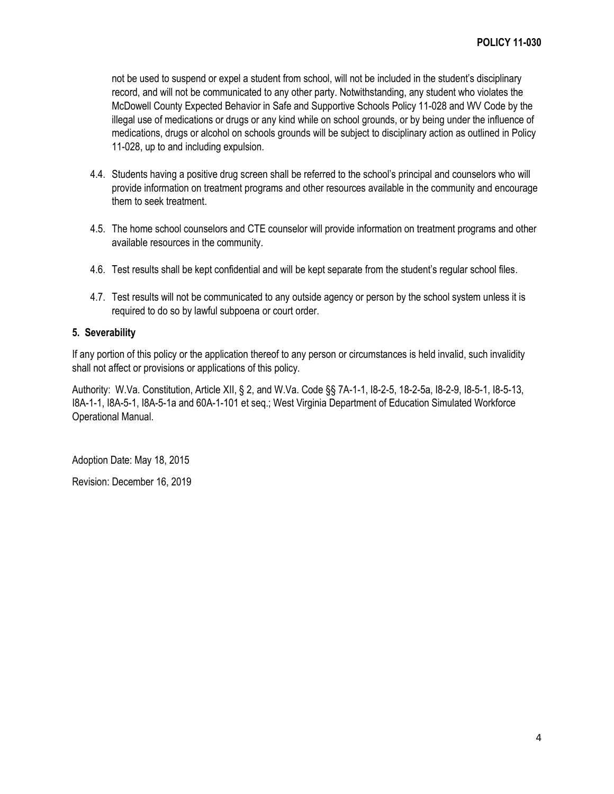not be used to suspend or expel a student from school, will not be included in the student's disciplinary record, and will not be communicated to any other party. Notwithstanding, any student who violates the McDowell County Expected Behavior in Safe and Supportive Schools Policy 11-028 and WV Code by the illegal use of medications or drugs or any kind while on school grounds, or by being under the influence of medications, drugs or alcohol on schools grounds will be subject to disciplinary action as outlined in Policy 11-028, up to and including expulsion.

- 4.4. Students having a positive drug screen shall be referred to the school's principal and counselors who will provide information on treatment programs and other resources available in the community and encourage them to seek treatment.
- 4.5. The home school counselors and CTE counselor will provide information on treatment programs and other available resources in the community.
- 4.6. Test results shall be kept confidential and will be kept separate from the student's regular school files.
- 4.7. Test results will not be communicated to any outside agency or person by the school system unless it is required to do so by lawful subpoena or court order.

### **5. Severability**

If any portion of this policy or the application thereof to any person or circumstances is held invalid, such invalidity shall not affect or provisions or applications of this policy.

Authority: W.Va. Constitution, Article XII, § 2, and W.Va. Code §§ 7A-1-1, I8-2-5, 18-2-5a, I8-2-9, I8-5-1, I8-5-13, I8A-1-1, I8A-5-1, I8A-5-1a and 60A-1-101 et seq.; West Virginia Department of Education Simulated Workforce Operational Manual.

Adoption Date: May 18, 2015

Revision: December 16, 2019